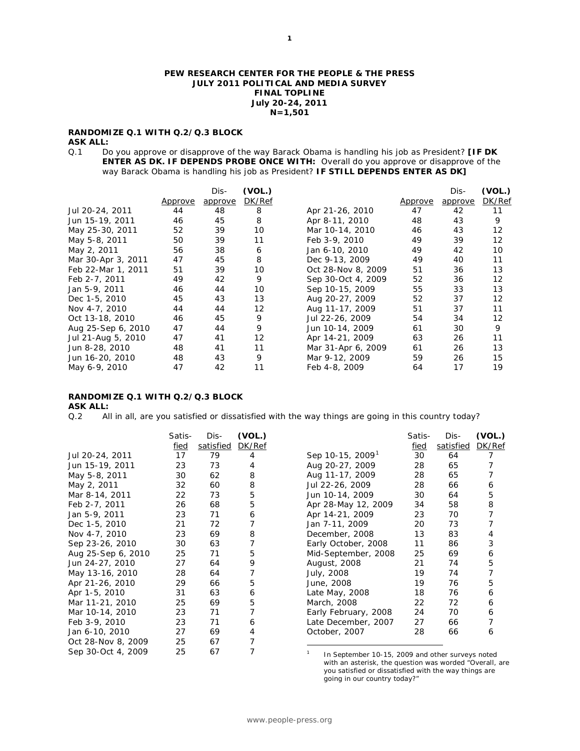#### **PEW RESEARCH CENTER FOR THE PEOPLE & THE PRESS JULY 2011 POLITICAL AND MEDIA SURVEY FINAL TOPLINE July 20-24, 2011 N=1,501**

# **RANDOMIZE Q.1 WITH Q.2/Q.3 BLOCK**

#### **ASK ALL:**

Q.1 Do you approve or disapprove of the way Barack Obama is handling his job as President? **[IF DK ENTER AS DK. IF DEPENDS PROBE ONCE WITH:** Overall do you approve or disapprove of the way Barack Obama is handling his job as President? **IF STILL DEPENDS ENTER AS DK]**

|                    | Approve | Dis-<br>approve | (VOL.)<br>DK/Ref |                    | Approve | Dis-<br>approve | (VOL.)<br>DK/Ref |
|--------------------|---------|-----------------|------------------|--------------------|---------|-----------------|------------------|
| Jul 20-24, 2011    | 44      | 48              | 8                | Apr 21-26, 2010    | 47      | 42              | 11               |
| Jun 15-19, 2011    | 46      | 45              | 8                | Apr 8-11, 2010     | 48      | 43              | 9                |
| May 25-30, 2011    | 52      | 39              | 10               | Mar 10-14, 2010    | 46      | 43              | 12               |
| May 5-8, 2011      | 50      | 39              | 11               | Feb 3-9, 2010      | 49      | 39              | 12               |
| May 2, 2011        | 56      | 38              | 6                | Jan 6-10, 2010     | 49      | 42              | 10               |
| Mar 30-Apr 3, 2011 | 47      | 45              | 8                | Dec 9-13, 2009     | 49      | 40              | 11               |
| Feb 22-Mar 1, 2011 | 51      | 39              | 10               | Oct 28-Nov 8, 2009 | 51      | 36              | 13               |
| Feb 2-7, 2011      | 49      | 42              | 9                | Sep 30-Oct 4, 2009 | 52      | 36              | 12               |
| Jan 5-9, 2011      | 46      | 44              | 10               | Sep 10-15, 2009    | 55      | 33              | 13               |
| Dec 1-5, 2010      | 45      | 43              | 13               | Aug 20-27, 2009    | 52      | 37              | 12               |
| Nov 4-7, 2010      | 44      | 44              | 12               | Aug 11-17, 2009    | 51      | 37              | 11               |
| Oct 13-18, 2010    | 46      | 45              | 9                | Jul 22-26, 2009    | 54      | 34              | 12               |
| Aug 25-Sep 6, 2010 | 47      | 44              | 9                | Jun 10-14, 2009    | 61      | 30              | 9                |
| Jul 21-Aug 5, 2010 | 47      | 41              | 12               | Apr 14-21, 2009    | 63      | 26              | 11               |
| Jun 8-28, 2010     | 48      | 41              | 11               | Mar 31-Apr 6, 2009 | 61      | 26              | 13               |
| Jun 16-20, 2010    | 48      | 43              | 9                | Mar 9-12, 2009     | 59      | 26              | 15               |
| May 6-9, 2010      | 47      | 42              | 11               | Feb 4-8, 2009      | 64      | 17              | 19               |

# **RANDOMIZE Q.1 WITH Q.2/Q.3 BLOCK**

**ASK ALL:**<br>Q.2 Al All in all, are you satisfied or dissatisfied with the way things are going in this country today?

<span id="page-0-0"></span>

|                    | Satis- | Dis-      | (VOL.) |                                                  | Satis- | Dis-      | (VOL.) |
|--------------------|--------|-----------|--------|--------------------------------------------------|--------|-----------|--------|
|                    | fied   | satisfied | DK/Ref |                                                  | fied   | satisfied | DK/Ref |
| Jul 20-24, 2011    | 17     | 79        | 4      | Sep 10-15, 2009                                  | 30     | 64        | 7      |
| Jun 15-19, 2011    | 23     | 73        | 4      | Aug 20-27, 2009                                  | 28     | 65        |        |
| May 5-8, 2011      | 30     | 62        | 8      | Aug 11-17, 2009                                  | 28     | 65        |        |
| May 2, 2011        | 32     | 60        | 8      | Jul 22-26, 2009                                  | 28     | 66        | 6      |
| Mar 8-14, 2011     | 22     | 73        | 5      | Jun 10-14, 2009                                  | 30     | 64        | 5      |
| Feb 2-7, 2011      | 26     | 68        | 5      | Apr 28-May 12, 2009                              | 34     | 58        | 8      |
| Jan 5-9, 2011      | 23     | 71        | 6      | Apr 14-21, 2009                                  | 23     | 70        |        |
| Dec 1-5, 2010      | 21     | 72        |        | Jan 7-11, 2009                                   | 20     | 73        |        |
| Nov 4-7, 2010      | 23     | 69        | 8      | December, 2008                                   | 13     | 83        | 4      |
| Sep 23-26, 2010    | 30     | 63        |        | Early October, 2008                              | 11     | 86        | 3      |
| Aug 25-Sep 6, 2010 | 25     | 71        | 5      | Mid-September, 2008                              | 25     | 69        | 6      |
| Jun 24-27, 2010    | 27     | 64        | 9      | August, 2008                                     | 21     | 74        | 5      |
| May 13-16, 2010    | 28     | 64        | 7      | July, 2008                                       | 19     | 74        | 7      |
| Apr 21-26, 2010    | 29     | 66        | 5      | June, 2008                                       | 19     | 76        | 5      |
| Apr 1-5, 2010      | 31     | 63        | 6      | Late May, 2008                                   | 18     | 76        | 6      |
| Mar 11-21, 2010    | 25     | 69        | 5      | March, 2008                                      | 22     | 72        | 6      |
| Mar 10-14, 2010    | 23     | 71        |        | Early February, 2008                             | 24     | 70        | 6      |
| Feb 3-9, 2010      | 23     | 71        | 6      | Late December, 2007                              | 27     | 66        |        |
| Jan 6-10, 2010     | 27     | 69        | 4      | October, 2007                                    | 28     | 66        | 6      |
| Oct 28-Nov 8, 2009 | 25     | 67        |        |                                                  |        |           |        |
| Sep 30-Oct 4, 2009 | 25     | 67        |        | In September 10-15, 2009 and other surveys noted |        |           |        |

<sup>1</sup> In September 10-15, 2009 and other surveys noted with an asterisk, the question was worded "Overall, are you satisfied or dissatisfied with the way things are going in our country today?"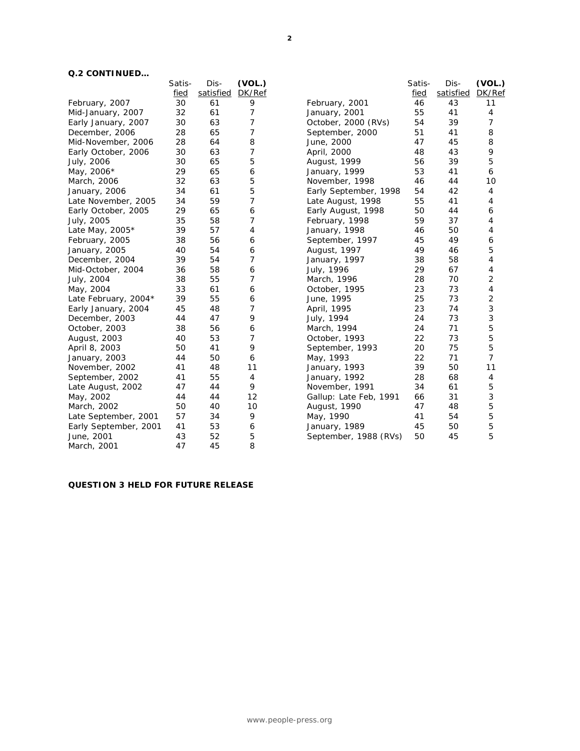# **Q.2 CONTINUED…**

|                       | Satis- | Dis-      | (VOL.)         |                        | Satis- | Dis-      | (VOL.) |
|-----------------------|--------|-----------|----------------|------------------------|--------|-----------|--------|
|                       | fied   | satisfied | DK/Ref         |                        | fied   | satisfied | DK/Ref |
| February, 2007        | 30     | 61        | 9              | February, 2001         | 46     | 43        | 11     |
| Mid-January, 2007     | 32     | 61        | 7              | January, 2001          | 55     | 41        | 4      |
| Early January, 2007   | 30     | 63        | 7              | October, 2000 (RVs)    | 54     | 39        | 7      |
| December, 2006        | 28     | 65        | $\overline{7}$ | September, 2000        | 51     | 41        | 8      |
| Mid-November, 2006    | 28     | 64        | 8              | June, 2000             | 47     | 45        | 8      |
| Early October, 2006   | 30     | 63        | 7              | April, 2000            | 48     | 43        | 9      |
| July, 2006            | 30     | 65        | 5              | August, 1999           | 56     | 39        | 5      |
| May, 2006*            | 29     | 65        | 6              | January, 1999          | 53     | 41        | 6      |
| March, 2006           | 32     | 63        | 5              | November, 1998         | 46     | 44        | 10     |
| January, 2006         | 34     | 61        | 5              | Early September, 1998  | 54     | 42        | 4      |
| Late November, 2005   | 34     | 59        | $\overline{7}$ | Late August, 1998      | 55     | 41        | 4      |
| Early October, 2005   | 29     | 65        | 6              | Early August, 1998     | 50     | 44        | 6      |
| July, 2005            | 35     | 58        | 7              | February, 1998         | 59     | 37        | 4      |
| Late May, 2005*       | 39     | 57        | 4              | January, 1998          | 46     | 50        | 4      |
| February, 2005        | 38     | 56        | 6              | September, 1997        | 45     | 49        | 6      |
| January, 2005         | 40     | 54        | 6              | August, 1997           | 49     | 46        | 5      |
| December, 2004        | 39     | 54        | 7              | January, 1997          | 38     | 58        | 4      |
| Mid-October, 2004     | 36     | 58        | 6              | July, 1996             | 29     | 67        | 4      |
| July, 2004            | 38     | 55        | 7              | March, 1996            | 28     | 70        | 2      |
| May, 2004             | 33     | 61        | 6              | October, 1995          | 23     | 73        | 4      |
| Late February, 2004*  | 39     | 55        | 6              | June, 1995             | 25     | 73        | 2      |
| Early January, 2004   | 45     | 48        | 7              | April, 1995            | 23     | 74        | 3      |
| December, 2003        | 44     | 47        | 9              | July, 1994             | 24     | 73        | 3      |
| October, 2003         | 38     | 56        | 6              | March, 1994            | 24     | 71        | 5      |
| August, 2003          | 40     | 53        | 7              | October, 1993          | 22     | 73        | 5      |
| April 8, 2003         | 50     | 41        | 9              | September, 1993        | 20     | 75        | 5      |
| January, 2003         | 44     | 50        | 6              | May, 1993              | 22     | 71        | 7      |
| November, 2002        | 41     | 48        | 11             | January, 1993          | 39     | 50        | 11     |
| September, 2002       | 41     | 55        | 4              | January, 1992          | 28     | 68        | 4      |
| Late August, 2002     | 47     | 44        | 9              | November, 1991         | 34     | 61        | 5      |
| May, 2002             | 44     | 44        | 12             | Gallup: Late Feb, 1991 | 66     | 31        | 3      |
| March, 2002           | 50     | 40        | 10             | August, 1990           | 47     | 48        | 5      |
| Late September, 2001  | 57     | 34        | 9              | May, 1990              | 41     | 54        | 5      |
| Early September, 2001 | 41     | 53        | 6              | January, 1989          | 45     | 50        | 5      |
| June, 2001            | 43     | 52        | 5              | September, 1988 (RVs)  | 50     | 45        | 5      |
| March, 2001           | 47     | 45        | 8              |                        |        |           |        |
|                       |        |           |                |                        |        |           |        |

# **QUESTION 3 HELD FOR FUTURE RELEASE**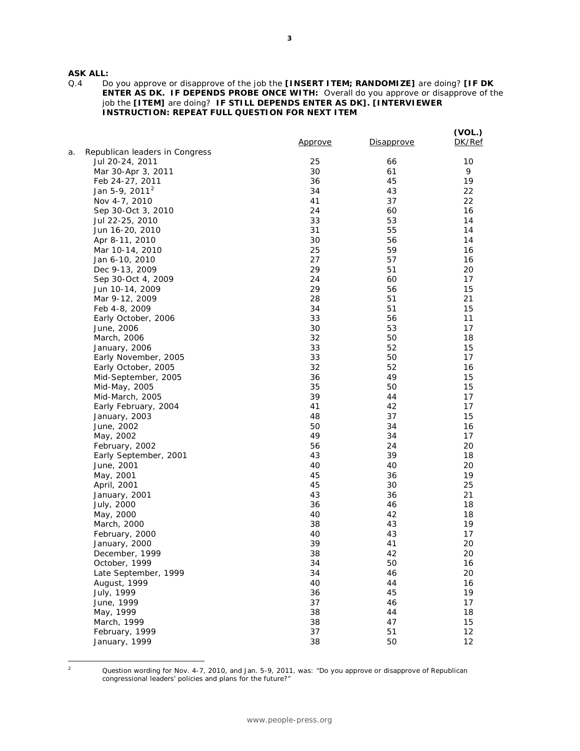**ASK ALL:**<br>Q.4 D

Q.4 Do you approve or disapprove of the job the **[INSERT ITEM; RANDOMIZE]** are doing? **[IF DK ENTER AS DK. IF DEPENDS PROBE ONCE WITH:** Overall do you approve or disapprove of the job the **[ITEM]** are doing? **IF STILL DEPENDS ENTER AS DK]. [INTERVIEWER INSTRUCTION: REPEAT FULL QUESTION FOR NEXT ITEM**

|    |                                | <u>Approve</u> | Disapprove | (VOL.)<br>DK/Ref |
|----|--------------------------------|----------------|------------|------------------|
| а. | Republican leaders in Congress |                |            |                  |
|    | Jul 20-24, 2011                | 25             | 66         | 10               |
|    | Mar 30-Apr 3, 2011             | 30             | 61         | 9                |
|    | Feb 24-27, 2011                | 36             | 45         | 19               |
|    | Jan 5-9, 2011 <sup>2</sup>     | 34             | 43         | 22               |
|    | Nov 4-7, 2010                  | 41             | 37         | 22               |
|    | Sep 30-Oct 3, 2010             | 24             | 60         | 16               |
|    | Jul 22-25, 2010                | 33             | 53         | 14               |
|    | Jun 16-20, 2010                | 31             | 55         | 14               |
|    | Apr 8-11, 2010                 | 30             | 56         | 14               |
|    | Mar 10-14, 2010                | 25             | 59         | 16               |
|    | Jan 6-10, 2010                 | 27             | 57         | 16               |
|    | Dec 9-13, 2009                 | 29             | 51         | 20               |
|    | Sep 30-Oct 4, 2009             | 24             | 60         | 17               |
|    | Jun 10-14, 2009                | 29             | 56         | 15               |
|    | Mar 9-12, 2009                 | 28             | 51         | 21               |
|    | Feb 4-8, 2009                  | 34             | 51         | 15               |
|    | Early October, 2006            | 33             | 56         | 11               |
|    | June, 2006                     | 30             | 53         | 17               |
|    | March, 2006                    | 32             | 50         | 18               |
|    | January, 2006                  | 33             | 52         | 15               |
|    | Early November, 2005           | 33             | 50         | 17               |
|    | Early October, 2005            | 32             | 52         | 16               |
|    | Mid-September, 2005            | 36             | 49         | 15               |
|    | Mid-May, 2005                  | 35             | 50         | 15               |
|    | Mid-March, 2005                | 39             | 44         | 17               |
|    | Early February, 2004           | 41             | 42         | 17               |
|    | January, 2003                  | 48             | 37         | 15               |
|    | June, 2002                     | 50             | 34         | 16               |
|    | May, 2002                      | 49             | 34         | 17               |
|    | February, 2002                 | 56             | 24         | 20               |
|    | Early September, 2001          | 43             | 39         | 18               |
|    | June, 2001                     | 40             | 40         | 20               |
|    | May, 2001                      | 45             | 36         | 19               |
|    | April, 2001                    | 45             | 30         | 25               |
|    | January, 2001                  | 43             | 36         | 21               |
|    | July, 2000                     | 36             | 46         | 18               |
|    | May, 2000                      | 40             | 42         | 18               |
|    | March, 2000                    | 38             | 43         | 19               |
|    | February, 2000                 | 40             | 43         | 17               |
|    | January, 2000                  | 39             | 41         | 20               |
|    | December, 1999                 | 38             | 42         | 20               |
|    | October, 1999                  | 34             | 50         | 16               |
|    | Late September, 1999           | 34             | 46         | 20               |
|    | August, 1999                   | 40             | 44         | 16               |
|    | July, 1999                     | 36             | 45         | 19               |
|    | June, 1999                     | 37             | 46         | 17               |
|    | May, 1999                      | 38             | 44         | 18               |
|    | March, 1999                    | 38             | 47         | 15               |
|    | February, 1999                 | 37             | 51         | 12               |
|    | January, 1999                  | 38             | 50         | 12               |
|    |                                |                |            |                  |

<span id="page-2-0"></span> $\mathbf 2$ 

<sup>2</sup> Question wording for Nov. 4-7, 2010, and Jan. 5-9, 2011, was: "Do you approve or disapprove of Republican congressional leaders' policies and plans for the future?"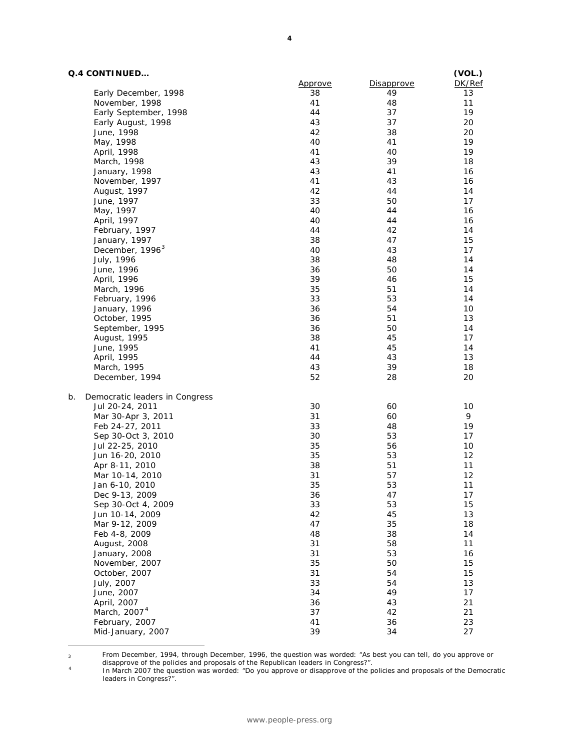# **Q.4 CONTINUED…**

 $\overline{a}$ 

| Q.4 CONTINUED                        |                |                   | (VOL.) |
|--------------------------------------|----------------|-------------------|--------|
|                                      | <u>Approve</u> | <b>Disapprove</b> | DK/Ref |
| Early December, 1998                 | 38             | 49                | 13     |
| November, 1998                       | 41             | 48                | 11     |
| Early September, 1998                | 44             | 37                | 19     |
| Early August, 1998                   | 43             | 37                | 20     |
| June, 1998                           | 42             | 38                | 20     |
| May, 1998                            | 40             | 41                | 19     |
| April, 1998                          | 41             | 40                | 19     |
| March, 1998                          | 43             | 39                | 18     |
| January, 1998                        | 43             | 41                | 16     |
| November, 1997                       | 41             | 43                | 16     |
| August, 1997                         | 42             | 44                | 14     |
| June, 1997                           | 33             | 50                | 17     |
| May, 1997                            | 40             | 44                | 16     |
| April, 1997                          | 40             | 44                | 16     |
| February, 1997                       | 44             | 42                | 14     |
| January, 1997                        | 38             | 47                | 15     |
| December, 1996 <sup>3</sup>          | 40             | 43                | 17     |
| July, 1996                           | 38             | 48                | 14     |
| June, 1996                           | 36             | 50                | 14     |
| April, 1996                          | 39             | 46                | 15     |
| March, 1996                          | 35             | 51                | 14     |
| February, 1996                       | 33             | 53                | 14     |
| January, 1996                        | 36             | 54                | 10     |
| October, 1995                        | 36             | 51                | 13     |
| September, 1995                      | 36             | 50                | 14     |
| August, 1995                         | 38             | 45                | 17     |
| June, 1995                           | 41             | 45                | 14     |
| April, 1995                          | 44             | 43                | 13     |
| March, 1995                          | 43             | 39                | 18     |
| December, 1994                       | 52             | 28                | 20     |
| Democratic leaders in Congress<br>b. |                |                   |        |
| Jul 20-24, 2011                      | 30             | 60                | 10     |
| Mar 30-Apr 3, 2011                   | 31             | 60                | 9      |
| Feb 24-27, 2011                      | 33             | 48                | 19     |
| Sep 30-Oct 3, 2010                   | 30             | 53                | 17     |
| Jul 22-25, 2010                      | 35             | 56                | 10     |
| Jun 16-20, 2010                      | 35             | 53                | 12     |
| Apr 8-11, 2010                       | 38             | 51                | 11     |
| Mar 10-14, 2010                      | 31             | 57                | 12     |
| Jan 6-10, 2010                       | 35             | 53                | 11     |
| Dec 9-13, 2009                       | 36             | 47                | 17     |
| Sep 30-Oct 4, 2009                   | 33             | 53                | 15     |
| Jun 10-14, 2009                      | 42             | 45                | 13     |
| Mar 9-12, 2009                       | 47             | 35                | 18     |
| Feb 4-8, 2009                        | 48             | 38                | 14     |
| August, 2008                         | 31             | 58                | 11     |
| January, 2008                        | 31             | 53                | 16     |
| November, 2007                       | 35             | 50                | 15     |
| October, 2007                        | 31             | 54                | 15     |
| July, 2007                           | 33             | 54                | 13     |
| June, 2007                           | 34             | 49                | 17     |
| April, 2007                          | 36             | 43                | 21     |
| March, 2007 <sup>4</sup>             | 37             | 42                | 21     |
| February, 2007                       | 41             | 36                | 23     |
| Mid-January, 2007                    | 39             | 34                | 27     |
|                                      |                |                   |        |

<span id="page-3-0"></span> $_3$  From December, 1994, through December, 1996, the question was worded: "As best you can tell, do you approve or

disapprove of the policies and proposals of the Republican leaders in Congress?".

<span id="page-3-1"></span><sup>4</sup> In March 2007 the question was worded: "Do you approve or disapprove of the policies and proposals of the Democratic leaders in Congress?".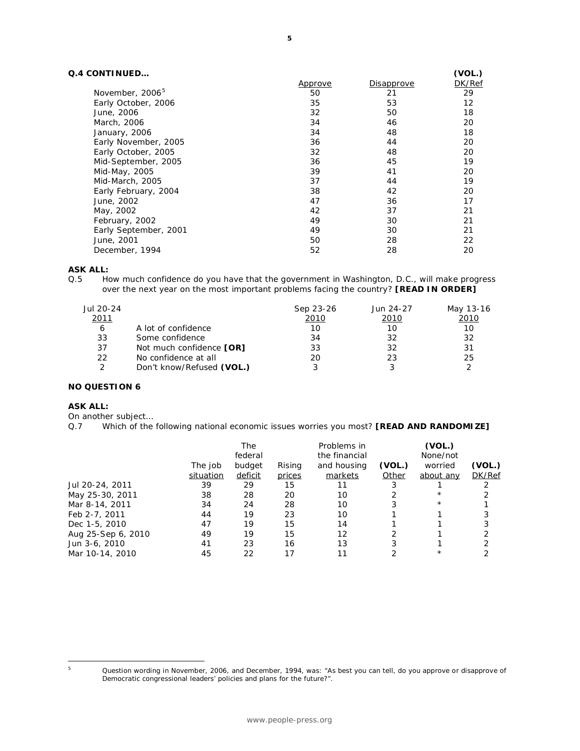# **Q.4 CONTINUED…**

| <b>CONTINUED</b>            |                |                   | (VOL.) |
|-----------------------------|----------------|-------------------|--------|
|                             | <u>Approve</u> | <b>Disapprove</b> | DK/Ref |
| November, 2006 <sup>5</sup> | 50             | 21                | 29     |
| Early October, 2006         | 35             | 53                | 12     |
| June, 2006                  | 32             | 50                | 18     |
| March, 2006                 | 34             | 46                | 20     |
| January, 2006               | 34             | 48                | 18     |
| Early November, 2005        | 36             | 44                | 20     |
| Early October, 2005         | 32             | 48                | 20     |
| Mid-September, 2005         | 36             | 45                | 19     |
| Mid-May, 2005               | 39             | 41                | 20     |
| Mid-March, 2005             | 37             | 44                | 19     |
| Early February, 2004        | 38             | 42                | 20     |
| June, 2002                  | 47             | 36                | 17     |
| May, 2002                   | 42             | 37                | 21     |
| February, 2002              | 49             | 30                | 21     |
| Early September, 2001       | 49             | 30                | 21     |
| June, 2001                  | 50             | 28                | 22     |
| December, 1994              | 52             | 28                | 20     |

# **ASK ALL:**

Q.5 How much confidence do you have that the government in Washington, D.C., will make progress over the next year on the most important problems facing the country? **[READ IN ORDER]**

|                           | Sep 23-26 | Jun 24-27 | May 13-16 |
|---------------------------|-----------|-----------|-----------|
|                           | 2010      | 2010      | 2010      |
| A lot of confidence       | 10        | 10        | 10        |
| Some confidence           | 34        | 32        | 32        |
| Not much confidence [OR]  | 33        | 32        | 31        |
| No confidence at all      | 20        | 23        | 25        |
| Don't know/Refused (VOL.) |           |           |           |
|                           |           |           |           |

# **NO QUESTION 6**

# **ASK ALL:**

On another subject…

Q.7 Which of the following national economic issues worries you most? **[READ AND RANDOMIZE]** 

|           | The     |        | Problems in   |        | (VOL.)    |        |
|-----------|---------|--------|---------------|--------|-----------|--------|
|           | federal |        | the financial |        | None/not  |        |
| The job   | budget  | Rising | and housing   | (VOL.) | worried   | (VOL.) |
| situation | deficit | prices | markets       | Other  | about any | DK/Ref |
| 39        | 29      | 15     | 11            |        |           |        |
| 38        | 28      | 20     | 10            |        | $^\star$  |        |
| 34        | 24      | 28     | 10            |        | $^\star$  |        |
| 44        | 19      | 23     | 10            |        |           |        |
| 47        | 19      | 15     | 14            |        |           |        |
| 49        | 19      | 15     | 12            |        |           |        |
| 41        | 23      | 16     | 13            | 3      |           |        |
| 45        | 22      | 17     |               |        | $^\star$  |        |
|           |         |        |               |        |           |        |

<span id="page-4-0"></span> $\sf 5$ 

Question wording in November, 2006, and December, 1994, was: "As best you can tell, do you approve or disapprove of Democratic congressional leaders' policies and plans for the future?".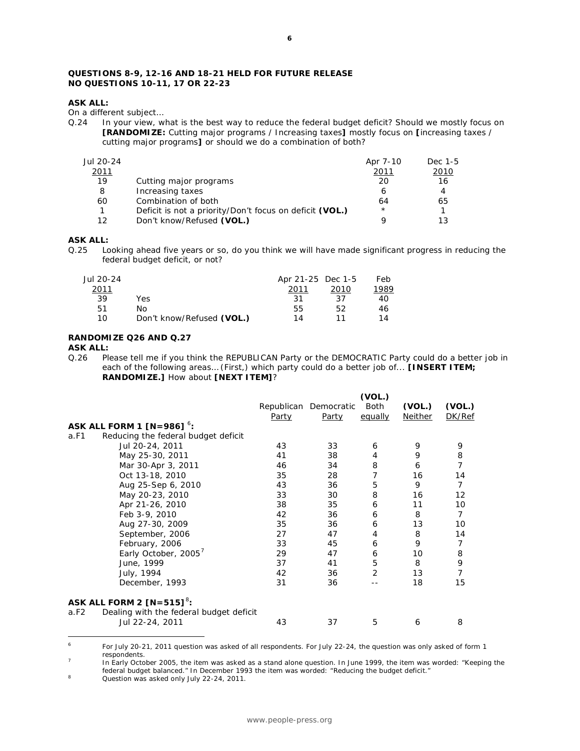# **QUESTIONS 8-9, 12-16 AND 18-21 HELD FOR FUTURE RELEASE NO QUESTIONS 10-11, 17 OR 22-23**

## **ASK ALL:**

On a different subject…

Q.24 In your view, what is the best way to reduce the federal budget deficit? Should we mostly focus on **[RANDOMIZE:** Cutting major programs / Increasing taxes**]** mostly focus on **[**increasing taxes / cutting major programs**]** or should we do a combination of both?

| Jul 20-24 |                                                         | Apr 7-10 | Dec 1-5 |
|-----------|---------------------------------------------------------|----------|---------|
| 2011      |                                                         | 2011     | 2010    |
| 19        | Cutting major programs                                  | 20       | 16      |
| 8         | Increasing taxes                                        |          | 4       |
| 60        | Combination of both                                     | 64       | 65      |
|           | Deficit is not a priority/Don't focus on deficit (VOL.) | $\star$  |         |
| 1つ        | Don't know/Refused (VOL.)                               |          | 1 ว     |

### **ASK ALL:**

Q.25 Looking ahead five years or so, do you think we will have made significant progress in reducing the federal budget deficit, or not?

| Jul 20-24 |                           | Apr 21-25 Dec 1-5 |      | Feb  |
|-----------|---------------------------|-------------------|------|------|
| 2011      |                           | 2011              | 2010 | 1989 |
| 39        | Yes                       | 31                | 37   | 40   |
| 51        | No.                       | 55                | 52   | 46   |
| 10        | Don't know/Refused (VOL.) | 14                |      | 14   |

#### **RANDOMIZE Q26 AND Q.27**

#### **ASK ALL:**

Q.26 Please tell me if you think the REPUBLICAN Party or the DEMOCRATIC Party could do a better job in each of the following areas… (First,) which party could do a better job of... **[INSERT ITEM; RANDOMIZE.]** How about **[NEXT ITEM]**?

|      |                                                            |              |                       | (VOL.)         |                |                |
|------|------------------------------------------------------------|--------------|-----------------------|----------------|----------------|----------------|
|      |                                                            |              | Republican Democratic | Both           | (VOL.)         | (VOL.)         |
|      |                                                            | <b>Party</b> | <b>Party</b>          | equally        | <b>Neither</b> | DK/Ref         |
|      | <b>ASK ALL FORM 1 [N=986] °:</b>                           |              |                       |                |                |                |
| a.F1 | Reducing the federal budget deficit                        |              |                       |                |                |                |
|      | Jul 20-24, 2011                                            | 43           | 33                    | 6              | 9              | 9              |
|      | May 25-30, 2011                                            | 41           | 38                    | 4              | 9              | 8              |
|      | Mar 30-Apr 3, 2011                                         | 46           | 34                    | 8              | 6              | $\overline{7}$ |
|      | Oct 13-18, 2010                                            | 35           | 28                    | 7              | 16             | 14             |
|      | Aug 25-Sep 6, 2010                                         | 43           | 36                    | 5              | 9              | $\overline{7}$ |
|      | May 20-23, 2010                                            | 33           | 30                    | 8              | 16             | 12             |
|      | Apr 21-26, 2010                                            | 38           | 35                    | 6              | 11             | 10             |
|      | Feb 3-9, 2010                                              | 42           | 36                    | 6              | 8              | 7              |
|      | Aug 27-30, 2009                                            | 35           | 36                    | 6              | 13             | 10             |
|      | September, 2006                                            | 27           | 47                    | 4              | 8              | 14             |
|      | February, 2006                                             | 33           | 45                    | 6              | 9              | 7              |
|      | Early October, 2005 <sup>7</sup>                           | 29           | 47                    | 6              | 10             | 8              |
|      | June, 1999                                                 | 37           | 41                    | 5              | 8              | 9              |
|      | July, 1994                                                 | 42           | 36                    | $\overline{2}$ | 13             | $\overline{7}$ |
|      | December, 1993                                             | 31           | 36                    |                | 18             | 15             |
|      | ASK ALL FORM 2 $[N=515]^8$ :                               |              |                       |                |                |                |
| a.F2 | Dealing with the federal budget deficit<br>Jul 22-24, 2011 | 43           | 37                    | 5              | 6              | 8              |

<span id="page-5-0"></span> $\ddot{\phantom{a}}$ <sup>6</sup> For July 20-21, 2011 question was asked of all respondents. For July 22-24, the question was only asked of form 1 respondents.

<span id="page-5-1"></span> $\frac{1}{2}$  In Early October 2005, the item was asked as a stand alone question. In June 1999, the item was worded: "Keeping the federal budget balanced." In December 1993 the item was worded: "Reducing the budget deficit."

<span id="page-5-2"></span><sup>&</sup>lt;sup>8</sup> Question was asked only July 22-24, 2011.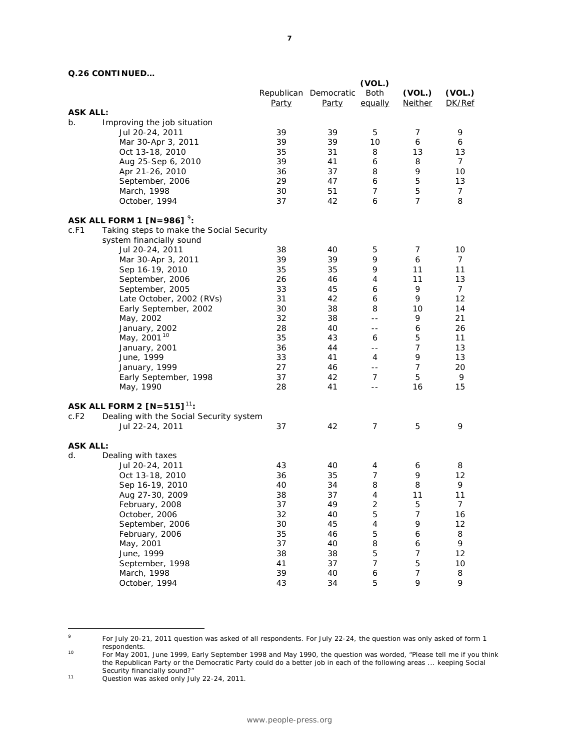# **Q.26 CONTINUED…**

|                 |                                          |          | Republican Democratic | (VOL.)<br>Both             | (VOL.)           | (VOL.)<br>DK/Ref |
|-----------------|------------------------------------------|----------|-----------------------|----------------------------|------------------|------------------|
| <b>ASK ALL:</b> |                                          | Party    | <u>Party</u>          | equally                    | <b>Neither</b>   |                  |
| b.              | Improving the job situation              |          |                       |                            |                  |                  |
|                 | Jul 20-24, 2011                          | 39       | 39                    | 5                          | 7                | 9                |
|                 |                                          | 39       | 39                    | 10                         | 6                | 6                |
|                 | Mar 30-Apr 3, 2011                       | 35       | 31                    | 8                          | 13               | 13               |
|                 | Oct 13-18, 2010                          | 39       | 41                    | 6                          | 8                | 7                |
|                 | Aug 25-Sep 6, 2010                       | 36       | 37                    | 8                          | 9                | 10               |
|                 | Apr 21-26, 2010<br>September, 2006       | 29       | 47                    | 6                          | 5                | 13               |
|                 |                                          | 30       | 51                    | $\overline{7}$             | 5                | $\overline{7}$   |
|                 | March, 1998<br>October, 1994             | 37       | 42                    | 6                          | $\overline{7}$   | 8                |
|                 | ASK ALL FORM 1 $[N=986]$ <sup>9</sup> :  |          |                       |                            |                  |                  |
| c.F1            | Taking steps to make the Social Security |          |                       |                            |                  |                  |
|                 | system financially sound                 |          |                       |                            |                  |                  |
|                 | Jul 20-24, 2011                          | 38       | 40                    | 5                          | $\overline{7}$   | 10               |
|                 | Mar 30-Apr 3, 2011                       | 39       | 39                    | 9                          | 6                | 7                |
|                 | Sep 16-19, 2010                          | 35       | 35                    | 9                          | 11               | 11               |
|                 | September, 2006                          | 26       | 46                    | 4                          | 11               | 13               |
|                 | September, 2005                          | 33       | 45                    | 6                          | 9                | $\overline{7}$   |
|                 | Late October, 2002 (RVs)                 | 31       | 42                    | 6                          | 9                | 12               |
|                 | Early September, 2002                    | 30       | 38                    | 8                          | 10               | 14               |
|                 | May, 2002                                | 32       | 38                    | $-$                        | 9                | 21               |
|                 | January, 2002                            | 28       | 40                    | $\overline{\phantom{a}}$ . | 6                | 26               |
|                 | May, 2001 <sup>10</sup>                  | 35       | 43                    | 6                          | 5                | 11               |
|                 | January, 2001                            | 36       | 44                    | $- -$                      | $\overline{7}$   | 13               |
|                 | June, 1999                               | 33       | 41                    | 4                          | 9                | 13               |
|                 | January, 1999                            | 27       | 46                    | $\overline{\phantom{a}}$ . | $\overline{7}$   | 20               |
|                 | Early September, 1998                    | 37       | 42                    | 7                          | 5                | 9                |
|                 | May, 1990                                | 28       | 41                    | $- -$                      | 16               | 15               |
|                 | ASK ALL FORM 2 $[N=515]$ <sup>11</sup> : |          |                       |                            |                  |                  |
| c.F2            | Dealing with the Social Security system  |          |                       |                            |                  |                  |
|                 | Jul 22-24, 2011                          | 37       | 42                    | $\overline{7}$             | 5                | 9                |
| <b>ASK ALL:</b> |                                          |          |                       |                            |                  |                  |
| d.              | Dealing with taxes                       | 43       |                       |                            |                  |                  |
|                 | Jul 20-24, 2011                          |          | 40                    | 4<br>$\overline{7}$        | 6<br>9           | 8                |
|                 | Oct 13-18, 2010                          | 36<br>40 | 35<br>34              | 8                          | 8                | 12<br>9          |
|                 | Sep 16-19, 2010<br>Aug 27-30, 2009       | 38       | 37                    | $\overline{4}$             | 11               | 11               |
|                 |                                          |          |                       | $\overline{2}$             | 5                |                  |
|                 | February, 2008<br>October, 2006          | 37       | 49                    |                            | $\boldsymbol{7}$ | 7                |
|                 | September, 2006                          | 32<br>30 | 40<br>45              | 5<br>4                     | 9                | 16<br>12         |
|                 |                                          | 35       |                       | 5                          |                  |                  |
|                 | February, 2006<br>May, 2001              | 37       | 46<br>40              | 8                          | 6<br>6           | 8<br>9           |
|                 | June, 1999                               | 38       | 38                    | 5                          | 7                | 12               |
|                 | September, 1998                          | 41       | 37                    | 7                          | 5                | 10               |
|                 | March, 1998                              | 39       | 40                    | 6                          | $\overline{7}$   | 8                |
|                 | October, 1994                            | 43       | 34                    | 5                          | 9                | 9                |
|                 |                                          |          |                       |                            |                  |                  |

<span id="page-6-0"></span> $\overline{9}$ <sup>9</sup> For July 20-21, 2011 question was asked of all respondents. For July 22-24, the question was only asked of form 1

<span id="page-6-1"></span>respondents.<br>1<sup>0</sup> For May 2001, June 1999, Early September 1998 and May 1990, the question was worded, "Please tell me if you think the Republican Party or the Democratic Party could do a better job in each of the following areas ... keeping Social Security financially sound?"<br><sup>11</sup> Question was asked only July 22-24, 2011.

<span id="page-6-2"></span>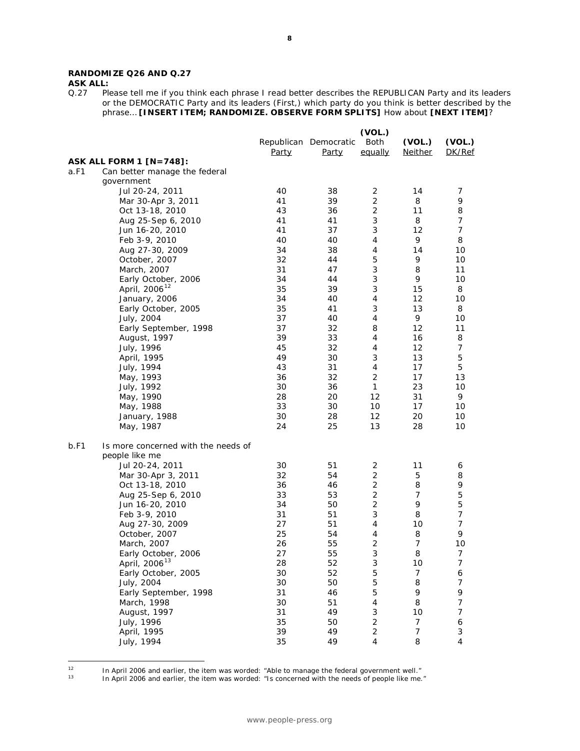# **RANDOMIZE Q26 AND Q.27**

<span id="page-7-1"></span><span id="page-7-0"></span> $12$ 

**ASK ALL:**<br>Q.27 Ple Please tell me if you think each phrase I read better describes the REPUBLICAN Party and its leaders or the DEMOCRATIC Party and its leaders (First,) which party do you think is better described by the phrase… **[INSERT ITEM; RANDOMIZE. OBSERVE FORM SPLITS]** How about **[NEXT ITEM]**?

|      |                                     |       |                                | (VOL.)            |                          |                          |
|------|-------------------------------------|-------|--------------------------------|-------------------|--------------------------|--------------------------|
|      |                                     | Party | Republican Democratic<br>Party | Both<br>equally   | (VOL.)<br><b>Neither</b> | (VOL.)<br>DK/Ref         |
|      | <b>ASK ALL FORM 1 [N=748]:</b>      |       |                                |                   |                          |                          |
| a.F1 | Can better manage the federal       |       |                                |                   |                          |                          |
|      | qovernment                          |       |                                |                   |                          |                          |
|      | Jul 20-24, 2011                     | 40    | 38                             | $\overline{c}$    | 14                       | 7                        |
|      | Mar 30-Apr 3, 2011                  | 41    | 39                             | $\overline{2}$    | 8                        | 9                        |
|      | Oct 13-18, 2010                     | 43    | 36                             | $\overline{c}$    | 11                       | 8                        |
|      | Aug 25-Sep 6, 2010                  | 41    | 41                             | 3                 | 8                        | 7                        |
|      | Jun 16-20, 2010                     | 41    | 37                             | 3                 | 12                       | $\overline{7}$           |
|      | Feb 3-9, 2010                       | 40    | 40                             | 4                 | 9                        | 8                        |
|      | Aug 27-30, 2009                     | 34    | 38                             | $\overline{4}$    | 14                       | 10                       |
|      | October, 2007                       | 32    | 44                             | 5                 | 9                        | 10                       |
|      | March, 2007                         | 31    | 47                             | 3                 | 8                        | 11                       |
|      | Early October, 2006                 | 34    | 44                             | 3                 | 9                        | 10                       |
|      | April, 2006 <sup>12</sup>           | 35    | 39                             | 3                 | 15                       | 8                        |
|      | January, 2006                       | 34    | 40                             | 4                 | 12                       | 10                       |
|      | Early October, 2005                 | 35    | 41                             | 3                 | 13                       | 8                        |
|      | July, 2004                          | 37    | 40                             | $\overline{4}$    | 9                        | 10                       |
|      | Early September, 1998               | 37    | 32                             | 8                 | 12                       | 11                       |
|      | August, 1997                        | 39    | 33                             | 4                 | 16                       | 8                        |
|      | July, 1996                          | 45    | 32                             | 4                 | 12                       | $\overline{7}$           |
|      | April, 1995                         | 49    | 30                             | 3                 | 13                       | 5                        |
|      | July, 1994                          | 43    | 31                             | 4                 | 17                       | 5                        |
|      | May, 1993                           | 36    | 32                             | 2                 | 17                       | 13                       |
|      | July, 1992                          | 30    | 36                             | 1                 | 23                       | 10                       |
|      | May, 1990                           | 28    | 20                             | 12                | 31                       | 9                        |
|      | May, 1988                           | 33    | 30                             | 10                | 17                       | 10                       |
|      | January, 1988                       | 30    | 28                             | $12 \overline{ }$ | 20                       | 10                       |
|      | May, 1987                           | 24    | 25                             | 13                | 28                       | 10                       |
| b.F1 | Is more concerned with the needs of |       |                                |                   |                          |                          |
|      | people like me                      |       |                                |                   |                          |                          |
|      | Jul 20-24, 2011                     | 30    | 51                             | 2                 | 11                       | 6                        |
|      | Mar 30-Apr 3, 2011                  | 32    | 54                             | 2                 | 5                        | 8                        |
|      | Oct 13-18, 2010                     | 36    | 46                             | $\overline{c}$    | 8                        | 9                        |
|      | Aug 25-Sep 6, 2010                  | 33    | 53                             | $\overline{c}$    | $\overline{7}$           | 5                        |
|      | Jun 16-20, 2010                     | 34    | 50                             | $\overline{2}$    | 9                        | 5                        |
|      | Feb 3-9, 2010                       | 31    | 51                             | 3                 | 8                        | $\overline{7}$           |
|      | Aug 27-30, 2009                     | 27    | 51                             | 4                 | 10                       | $\overline{7}$           |
|      | October, 2007                       | 25    | 54                             | 4                 | 8                        | 9                        |
|      | March, 2007                         | 26    | 55                             | $\overline{2}$    | 7                        | 10                       |
|      | Early October, 2006                 | 27    | 55                             | 3                 | 8                        | 7                        |
|      | April, 2006 <sup>13</sup>           | 28    | 52                             | 3                 | 10                       | $\overline{\mathcal{I}}$ |
|      | Early October, 2005                 | 30    | 52                             | 5                 | $\overline{7}$           | 6                        |
|      | July, 2004                          | 30    | 50                             | 5                 | 8                        | 7                        |
|      | Early September, 1998               | 31    | 46                             | 5                 | 9                        | 9                        |
|      | March, 1998                         | 30    | 51                             | 4                 | 8                        | $\overline{7}$           |
|      | August, 1997                        | 31    | 49                             | 3                 | 10                       | $\overline{7}$           |
|      | July, 1996                          | 35    | 50                             | $\overline{c}$    | 7                        | $\epsilon$               |
|      | April, 1995                         | 39    | 49                             | $\overline{c}$    | $\boldsymbol{7}$         | 3                        |
|      | July, 1994                          | 35    | 49                             | 4                 | 8                        | $\overline{4}$           |
|      |                                     |       |                                |                   |                          |                          |

<sup>&</sup>lt;sup>12</sup> In April 2006 and earlier, the item was worded: "Able to manage the federal government well."

<sup>13</sup> In April 2006 and earlier, the item was worded: "Is concerned with the needs of people like me."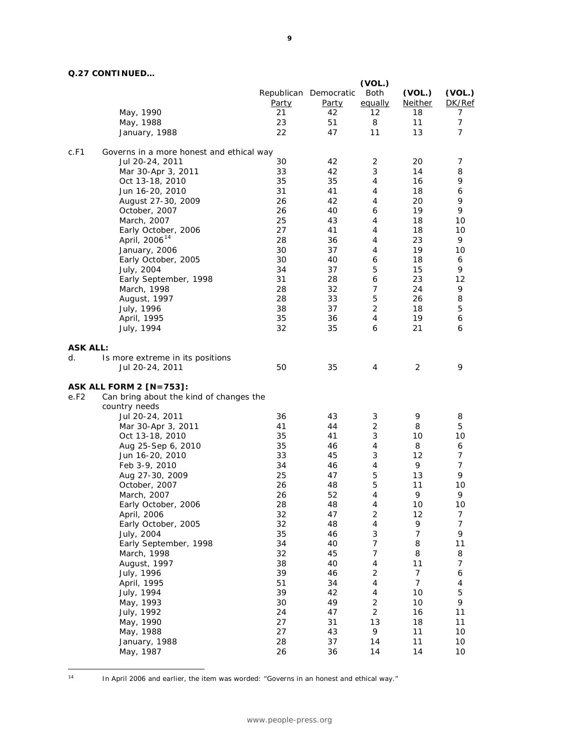# **Q.27 CONTINUED…**

|                 |                                                          |              |                                       | (VOL.)                           |                          |                     |
|-----------------|----------------------------------------------------------|--------------|---------------------------------------|----------------------------------|--------------------------|---------------------|
|                 |                                                          | <b>Party</b> | Republican Democratic<br><u>Party</u> | Both<br>equally                  | (VOL.)<br><b>Neither</b> | (VOL.)<br>DK/Ref    |
|                 | May, 1990                                                | 21<br>23     | 42<br>51                              | 12<br>8                          | 18<br>11                 | 7<br>$\overline{7}$ |
|                 | May, 1988<br>January, 1988                               | 22           | 47                                    | 11                               | 13                       | 7                   |
|                 |                                                          |              |                                       |                                  |                          |                     |
| c.F1            | Governs in a more honest and ethical way                 |              |                                       |                                  |                          |                     |
|                 | Jul 20-24, 2011                                          | 30           | 42                                    | 2                                | 20                       | 7                   |
|                 | Mar 30-Apr 3, 2011                                       | 33           | 42                                    | 3                                | 14                       | 8                   |
|                 | Oct 13-18, 2010<br>Jun 16-20, 2010                       | 35<br>31     | 35<br>41                              | 4<br>$\overline{4}$              | 16<br>18                 | 9<br>6              |
|                 | August 27-30, 2009                                       | 26           | 42                                    | 4                                | 20                       | 9                   |
|                 | October, 2007                                            | 26           | 40                                    | 6                                | 19                       | 9                   |
|                 | March, 2007                                              | 25           | 43                                    | 4                                | 18                       | 10                  |
|                 | Early October, 2006                                      | 27           | 41                                    | 4                                | 18                       | 10                  |
|                 | April, 2006 <sup>14</sup>                                | 28           | 36                                    | 4                                | 23                       | 9                   |
|                 | January, 2006                                            | 30           | 37                                    | $\overline{4}$                   | 19                       | 10                  |
|                 | Early October, 2005                                      | 30           | 40                                    | 6                                | 18                       | 6                   |
|                 | July, 2004                                               | 34           | 37                                    | 5                                | 15                       | 9                   |
|                 | Early September, 1998                                    | 31           | 28                                    | 6                                | 23                       | 12                  |
|                 | March, 1998                                              | 28           | 32                                    | $\overline{7}$                   | 24                       | 9                   |
|                 | August, 1997                                             | 28           | 33                                    | 5                                | 26                       | 8                   |
|                 | July, 1996                                               | 38           | 37                                    | $\overline{2}$                   | 18                       | 5                   |
|                 | April, 1995                                              | 35           | 36                                    | 4                                | 19                       | 6                   |
|                 | July, 1994                                               | 32           | 35                                    | 6                                | 21                       | 6                   |
| <b>ASK ALL:</b> |                                                          |              |                                       |                                  |                          |                     |
| d.              | Is more extreme in its positions                         |              |                                       |                                  |                          |                     |
|                 | Jul 20-24, 2011                                          | 50           | 35                                    | 4                                | $\overline{2}$           | 9                   |
|                 |                                                          |              |                                       |                                  |                          |                     |
| e.F2            | <b>ASK ALL FORM 2 [N=753]:</b>                           |              |                                       |                                  |                          |                     |
|                 | Can bring about the kind of changes the<br>country needs |              |                                       |                                  |                          |                     |
|                 | Jul 20-24, 2011                                          | 36           | 43                                    | 3                                | 9                        | 8                   |
|                 | Mar 30-Apr 3, 2011                                       | 41           | 44                                    | $\overline{c}$                   | 8                        | 5                   |
|                 | Oct 13-18, 2010                                          | 35           | 41                                    | 3                                | 10                       | 10                  |
|                 | Aug 25-Sep 6, 2010                                       | 35           | 46                                    | 4                                | 8                        | 6                   |
|                 | Jun 16-20, 2010                                          | 33           | 45                                    | $\sqrt{3}$                       | 12                       | 7                   |
|                 | Feb 3-9, 2010                                            | 34           | 46                                    | $\overline{4}$                   | 9                        | $\overline{7}$      |
|                 | Aug 27-30, 2009                                          | 25           | 47                                    | 5                                | 13                       | 9                   |
|                 | October, 2007                                            | 26           | 48                                    | 5                                | 11                       | 10                  |
|                 | March, 2007                                              | 26           | 52                                    | $\overline{4}$                   | 9                        | 9                   |
|                 | Early October, 2006                                      | 28           | 48                                    | 4                                | $10$                     | 10                  |
|                 | April, 2006                                              | 32           | 47                                    | $\sqrt{2}$                       | 12                       | 7                   |
|                 | Early October, 2005                                      | 32           | 48                                    | 4                                | 9                        | $\overline{7}$      |
|                 | July, 2004                                               | 35           | 46                                    | 3                                | $\overline{7}$           | 9                   |
|                 | Early September, 1998                                    | 34           | 40                                    | $\overline{7}$                   | 8                        | 11                  |
|                 | March, 1998                                              | 32           | 45                                    | 7                                | 8                        | 8                   |
|                 | August, 1997                                             | 38           | 40                                    | 4                                | 11                       | $\overline{7}$      |
|                 | July, 1996                                               | 39           | 46                                    | $\overline{c}$                   | $\boldsymbol{7}$         | 6                   |
|                 | April, 1995                                              | 51           | 34                                    | 4                                | $\overline{7}$           | 4                   |
|                 | July, 1994                                               | 39           | 42                                    | 4                                | 10                       | 5<br>9              |
|                 | May, 1993                                                | 30<br>24     | 49<br>47                              | $\overline{2}$<br>$\overline{2}$ | 10<br>16                 | 11                  |
|                 | July, 1992<br>May, 1990                                  | 27           | 31                                    | 13                               | 18                       | 11                  |
|                 | May, 1988                                                | 27           | 43                                    | 9                                | 11                       | 10                  |
|                 | January, 1988                                            | 28           | 37                                    | 14                               | 11                       | 10                  |
|                 | May, 1987                                                | 26           | 36                                    | 14                               | 14                       | 10                  |
|                 |                                                          |              |                                       |                                  |                          |                     |

<span id="page-8-0"></span>

| × |  |
|---|--|

In April 2006 and earlier, the item was worded: "Governs in an honest and ethical way."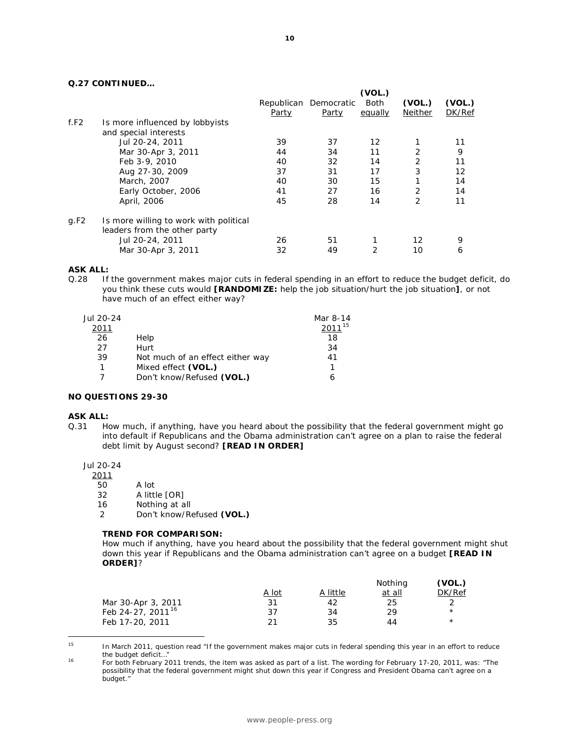# **Q.27 CONTINUED…**

|      |                                                          |       |                                | (VOL.)          |                   |                  |
|------|----------------------------------------------------------|-------|--------------------------------|-----------------|-------------------|------------------|
|      |                                                          | Party | Republican Democratic<br>Party | Both<br>equally | (VOL.)<br>Neither | (VOL.)<br>DK/Ref |
| f.F2 | Is more influenced by lobbyists<br>and special interests |       |                                |                 |                   |                  |
|      | Jul 20-24, 2011                                          | 39    | 37                             | 12              |                   | 11               |
|      | Mar 30-Apr 3, 2011                                       | 44    | 34                             | 11              | $\overline{2}$    | 9                |
|      | Feb 3-9, 2010                                            | 40    | 32                             | 14              | 2                 | 11               |
|      | Aug 27-30, 2009                                          | 37    | 31                             | 17              | 3                 | 12               |
|      | March, 2007                                              | 40    | 30                             | 15              | 1                 | 14               |
|      | Early October, 2006                                      | 41    | 27                             | 16              | $\overline{2}$    | 14               |
|      | April, 2006                                              | 45    | 28                             | 14              | $\overline{2}$    | 11               |
| g.F2 | Is more willing to work with political                   |       |                                |                 |                   |                  |
|      | leaders from the other party                             |       |                                |                 |                   |                  |
|      | Jul 20-24, 2011                                          | 26    | 51                             |                 | 12                | 9                |
|      | Mar 30-Apr 3, 2011                                       | 32    | 49                             | 2               | 10                | 6                |

#### **ASK ALL:**

Q.28 If the government makes major cuts in federal spending in an effort to reduce the budget deficit, do you think these cuts would **[RANDOMIZE:** help the job situation/hurt the job situation**]**, or not have much of an effect either way?

| Jul 20-24<br>2011 |                                  | Mar 8-14<br>$2011^{15}$ |
|-------------------|----------------------------------|-------------------------|
| 26                | Help                             | 18                      |
| 27                | Hurt                             | 34                      |
| 39                | Not much of an effect either way | 41                      |
| 1                 | Mixed effect (VOL.)              |                         |
|                   | Don't know/Refused (VOL.)        |                         |

# **NO QUESTIONS 29-30**

#### **ASK ALL:**

Q.31 How much, if anything, have you heard about the possibility that the federal government might go into default if Republicans and the Obama administration can't agree on a plan to raise the federal debt limit by August second? **[READ IN ORDER]**

Jul 20-24

 $\frac{2011}{50}$ 

- 50 A lot 32 A little [OR]
- 16 Nothing at all
- 2 Don't know/Refused **(VOL.)**

#### **TREND FOR COMPARISON:**

*How much if anything, have you heard about the possibility that the federal government might shut*  down this year if Republicans and the Obama administration can't agree on a budget [READ IN *ORDER]?* 

|                               |       |          | Nothing | (VOL.)     |
|-------------------------------|-------|----------|---------|------------|
|                               | A lot | A little | at all  | DK/Ref     |
| Mar 30-Apr 3, 2011            | 31    | 42       | 25      |            |
| Feb 24-27, 2011 <sup>16</sup> | 37    | 34       | 29      | $\star$    |
| Feb 17-20, 2011               | 21    | 35       | 44      | $^{\star}$ |

<span id="page-9-0"></span><sup>15</sup> In March 2011, question read "If the government makes major cuts in federal spending this year in an effort to reduce the budget deficit…"

<span id="page-9-1"></span><sup>16</sup> For both February 2011 trends, the item was asked as part of a list. The wording for February 17-20, 2011, was: "The possibility that the federal government might shut down this year if Congress and President Obama can't agree on a budget."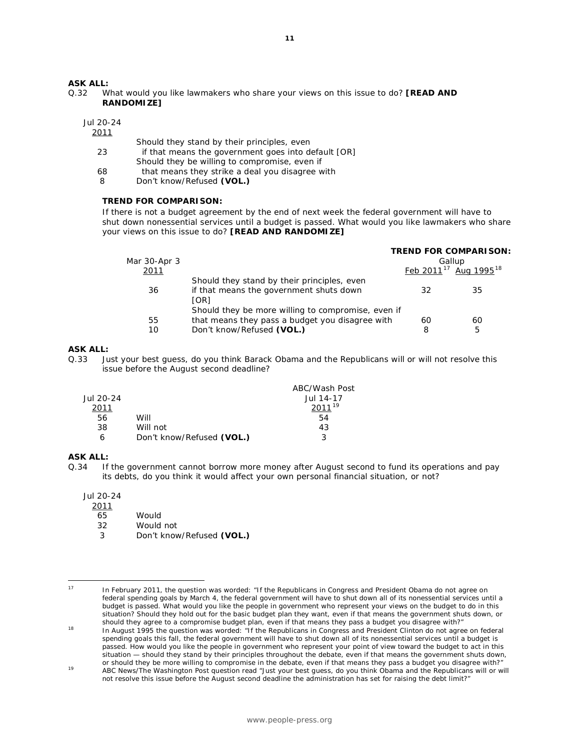#### **ASK ALL:**

Q.32 What would you like lawmakers who share your views on this issue to do? **[READ AND RANDOMIZE]** 

Jul 20-24

2011

- Should they stand by their principles, even 23 if that means the government goes into default [OR] Should they be willing to compromise, even if 68 that means they strike a deal you disagree with
- 8 Don't know/Refused **(VOL.)**

#### **TREND FOR COMPARISON:**

*If there is not a budget agreement by the end of next week the federal government will have to shut down nonessential services until a budget is passed. What would you like lawmakers who share your views on this issue to do? [READ AND RANDOMIZE]* 

|              |                                                    |    | <b>TREND FOR COMPARISON:</b>                  |  |
|--------------|----------------------------------------------------|----|-----------------------------------------------|--|
| Mar 30-Apr 3 |                                                    |    | Gallup                                        |  |
| 2011         |                                                    |    | Feb 2011 <sup>17</sup> Aug 1995 <sup>18</sup> |  |
|              | Should they stand by their principles, even        |    |                                               |  |
| 36           | if that means the government shuts down            | 32 | 35                                            |  |
|              | [OR]                                               |    |                                               |  |
|              | Should they be more willing to compromise, even if |    |                                               |  |
| 55           | that means they pass a budget you disagree with    | 60 | 60                                            |  |
| 10           | Don't know/Refused (VOL.)                          | 8  | 5                                             |  |
|              |                                                    |    |                                               |  |

# **ASK ALL:**

Q.33 Just your best guess, do you think Barack Obama and the Republicans will or will not resolve this issue before the August second deadline?

|           |                           | ABC/Wash Post |
|-----------|---------------------------|---------------|
| Jul 20-24 |                           | Jul 14-17     |
| 2011      |                           | $2011^{19}$   |
| 56        | Will                      | 54            |
| 38        | Will not                  | 43            |
| 6         | Don't know/Refused (VOL.) | 2             |

# **ASK ALL:**<br>0.34 If

If the government cannot borrow more money after August second to fund its operations and pay its debts, do you think it would affect your own personal financial situation, or not?

Jul 20-24

- $\frac{2011}{65}$
- Would
- 32 Would not
- 3 Don't know/Refused **(VOL.)**

In February 2011, the question was worded: "If the Republicans in Congress and President Obama do not agree on federal spending goals by March 4, the federal government will have to shut down all of its nonessential services until a budget is passed. What would you like the people in government who represent your views on the budget to do in this situation? Should they hold out for the basic budget plan they want, even if that means the government shuts down, or should they agree to a compromise budget plan, even if that means they pass a budget you disagree with?"<br>In August 1995 the question was worded: "If the Republicans in Congress and President Clinton do not agree on federal

<span id="page-10-0"></span> $17$ 

<span id="page-10-1"></span>spending goals this fall, the federal government will have to shut down all of its nonessential services until a budget is passed. How would you like the people in government who represent your point of view toward the budget to act in this situation — should they stand by their principles throughout the debate, even if that means the government shuts down, or should they be more willing to compromise in the debate, even if that means they pass a budget you disagree with?"

<span id="page-10-2"></span><sup>19</sup> ABC News/The Washington Post question read "Just your best guess, do you think Obama and the Republicans will or will not resolve this issue before the August second deadline the administration has set for raising the debt limit?"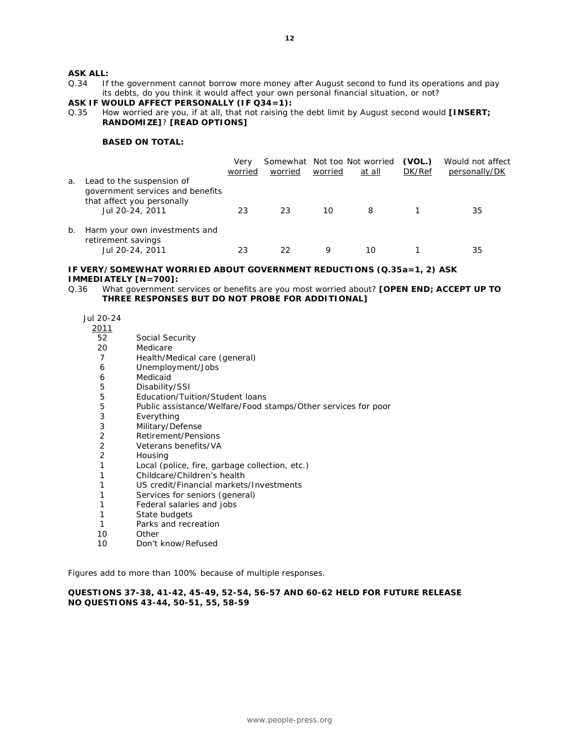### **ASK ALL:**

Q.34 If the government cannot borrow more money after August second to fund its operations and pay its debts, do you think it would affect your own personal financial situation, or not?

# **ASK IF WOULD AFFECT PERSONALLY (IF Q34=1):**

Q.35 How worried are you, if at all, that not raising the debt limit by August second would **[INSERT; RANDOMIZE]**? **[READ OPTIONS]**

#### **BASED ON TOTAL:**

|    |                                                                                                                | Very<br>worried | worried | worried | Somewhat Not too Not worried<br>at all | (VOL.)<br>DK/Ref | Would not affect<br>personally/DK |
|----|----------------------------------------------------------------------------------------------------------------|-----------------|---------|---------|----------------------------------------|------------------|-----------------------------------|
| a. | Lead to the suspension of<br>government services and benefits<br>that affect you personally<br>Jul 20-24, 2011 | 23              | 23      | 10      | 8                                      |                  | 35                                |
| b. | Harm your own investments and<br>retirement savings<br>Jul 20-24, 2011                                         | 23              | フフ      | Q       | 10                                     |                  | 35                                |

#### **IF VERY/SOMEWHAT WORRIED ABOUT GOVERNMENT REDUCTIONS (Q.35a=1, 2) ASK IMMEDIATELY [N=700]:**

Q.36 What government services or benefits are you most worried about? **[OPEN END; ACCEPT UP TO THREE RESPONSES BUT DO NOT PROBE FOR ADDITIONAL]** 

Jul 20-24

- $\frac{2011}{52}$ 
	- Social Security
- 20 Medicare
- 7 Health/Medical care (general)
- 6 Unemployment/Jobs
- 6 Medicaid<br>5 Disability
- 5 Disability/SSI<br>5 Education/Tui
- 5 Education/Tuition/Student loans<br>5 Public assistance/Welfare/Food s
- 5 Public assistance/Welfare/Food stamps/Other services for poor
- **Everything**
- 3 Military/Defense<br>2 Retirement/Pens
- 2 Retirement/Pensions
- 2 Veterans benefits/VA
- 2 Housing
- 1 Local (police, fire, garbage collection, etc.)
- 1 Childcare/Children's health
- 1 US credit/Financial markets/Investments
- 1 Services for seniors (general)
- 1 Federal salaries and jobs
- 1 State budgets
- 1 Parks and recreation
- 10 Other
- 10 Don't know/Refused

*Figures add to more than 100% because of multiple responses.*

#### **QUESTIONS 37-38, 41-42, 45-49, 52-54, 56-57 AND 60-62 HELD FOR FUTURE RELEASE NO QUESTIONS 43-44, 50-51, 55, 58-59**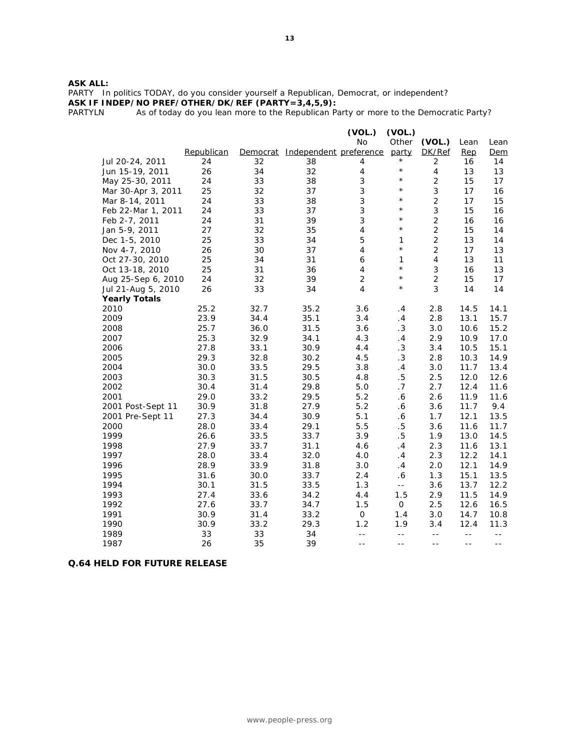#### **ASK ALL:**

PARTY In politics TODAY, do you consider yourself a Republican, Democrat, or independent? **ASK IF INDEP/NO PREF/OTHER/DK/REF (PARTY=3,4,5,9):**

PARTYLN As of today do you lean more to the Republican Party or more to the Democratic Party?

|                      |            |          |                        | (VOL.)                   | (VOL.)                |                          |       |       |
|----------------------|------------|----------|------------------------|--------------------------|-----------------------|--------------------------|-------|-------|
|                      |            |          |                        | <b>No</b>                | Other                 | (VOL.)                   | Lean  | Lean  |
|                      | Republican | Democrat | Independent preference |                          | party                 | DK/Ref                   | Rep   | Dem   |
| Jul 20-24, 2011      | 24         | 32       | 38                     | 4                        | $^{\star}$            | 2                        | 16    | 14    |
| Jun 15-19, 2011      | 26         | 34       | 32                     | $\overline{4}$           | $\star$               | $\overline{\mathcal{A}}$ | 13    | 13    |
| May 25-30, 2011      | 24         | 33       | 38                     | 3                        | $\star$               | $\overline{2}$           | 15    | 17    |
| Mar 30-Apr 3, 2011   | 25         | 32       | 37                     | 3                        | $\star$               | 3                        | 17    | 16    |
| Mar 8-14, 2011       | 24         | 33       | 38                     | 3                        | $\star$               | $\overline{2}$           | 17    | 15    |
| Feb 22-Mar 1, 2011   | 24         | 33       | 37                     | 3                        | $\star$               | 3                        | 15    | 16    |
| Feb 2-7, 2011        | 24         | 31       | 39                     | 3                        | $\star$               | $\overline{2}$           | 16    | 16    |
| Jan 5-9, 2011        | 27         | 32       | 35                     | $\overline{\mathbf{4}}$  | $\star$               | $\overline{2}$           | 15    | 14    |
| Dec 1-5, 2010        | 25         | 33       | 34                     | 5                        | $\mathbf{1}$          | $\overline{2}$           | 13    | 14    |
| Nov 4-7, 2010        | 26         | 30       | 37                     | $\overline{\mathcal{A}}$ | $\star$               | $\overline{c}$           | 17    | 13    |
| Oct 27-30, 2010      | 25         | 34       | 31                     | 6                        | 1                     | $\overline{4}$           | 13    | 11    |
| Oct 13-18, 2010      | 25         | 31       | 36                     | $\overline{\mathcal{A}}$ | $\star$               | 3                        | 16    | 13    |
| Aug 25-Sep 6, 2010   | 24         | 32       | 39                     | $\overline{c}$           | $\star$               | $\overline{2}$           | 15    | 17    |
| Jul 21-Aug 5, 2010   | 26         | 33       | 34                     | $\overline{4}$           | $\star$               | 3                        | 14    | 14    |
| <b>Yearly Totals</b> |            |          |                        |                          |                       |                          |       |       |
| 2010                 | 25.2       | 32.7     | 35.2                   | 3.6                      | .4                    | 2.8                      | 14.5  | 14.1  |
| 2009                 | 23.9       | 34.4     | 35.1                   | 3.4                      | .4                    | 2.8                      | 13.1  | 15.7  |
| 2008                 | 25.7       | 36.0     | 31.5                   | 3.6                      | .3                    | 3.0                      | 10.6  | 15.2  |
| 2007                 | 25.3       | 32.9     | 34.1                   | 4.3                      | .4                    | 2.9                      | 10.9  | 17.0  |
| 2006                 | 27.8       | 33.1     | 30.9                   | 4.4                      | .3                    | 3.4                      | 10.5  | 15.1  |
| 2005                 | 29.3       | 32.8     | 30.2                   | 4.5                      | .3                    | 2.8                      | 10.3  | 14.9  |
| 2004                 | 30.0       | 33.5     | 29.5                   | 3.8                      | .4                    | 3.0                      | 11.7  | 13.4  |
| 2003                 | 30.3       | 31.5     | 30.5                   | 4.8                      | .5                    | 2.5                      | 12.0  | 12.6  |
| 2002                 | 30.4       | 31.4     | 29.8                   | 5.0                      | .7                    | 2.7                      | 12.4  | 11.6  |
| 2001                 | 29.0       | 33.2     | 29.5                   | 5.2                      | .6                    | 2.6                      | 11.9  | 11.6  |
| 2001 Post-Sept 11    | 30.9       | 31.8     | 27.9                   | 5.2                      | $\boldsymbol{\delta}$ | 3.6                      | 11.7  | 9.4   |
| 2001 Pre-Sept 11     | 27.3       | 34.4     | 30.9                   | 5.1                      | .6                    | 1.7                      | 12.1  | 13.5  |
| 2000                 | 28.0       | 33.4     | 29.1                   | 5.5                      | $.5\,$                | 3.6                      | 11.6  | 11.7  |
| 1999                 | 26.6       | 33.5     | 33.7                   | 3.9                      | .5                    | 1.9                      | 13.0  | 14.5  |
| 1998                 | 27.9       | 33.7     | 31.1                   | 4.6                      | .4                    | 2.3                      | 11.6  | 13.1  |
| 1997                 | 28.0       | 33.4     | 32.0                   | 4.0                      | .4                    | 2.3                      | 12.2  | 14.1  |
| 1996                 | 28.9       | 33.9     | 31.8                   | 3.0                      | .4                    | 2.0                      | 12.1  | 14.9  |
| 1995                 | 31.6       | 30.0     | 33.7                   | 2.4                      | .6                    | 1.3                      | 15.1  | 13.5  |
| 1994                 | 30.1       | 31.5     | 33.5                   | 1.3                      | $\mathbb{L} \to$      | 3.6                      | 13.7  | 12.2  |
| 1993                 | 27.4       | 33.6     | 34.2                   | 4.4                      | 1.5                   | 2.9                      | 11.5  | 14.9  |
| 1992                 | 27.6       | 33.7     | 34.7                   | 1.5                      | $\mathsf{O}$          | 2.5                      | 12.6  | 16.5  |
| 1991                 | 30.9       | 31.4     | 33.2                   | $\mathsf{O}$             | 1.4                   | 3.0                      | 14.7  | 10.8  |
| 1990                 | 30.9       | 33.2     | 29.3                   | 1.2                      | 1.9                   | 3.4                      | 12.4  | 11.3  |
| 1989                 | 33         | 33       | 34                     | $-$                      | $\mathbb{L}^{\perp}$  | $- -$                    | $- -$ | $- -$ |
| 1987                 | 26         | 35       | 39                     | $- -$                    | $- -$                 | $ -$                     | $- -$ | $-$   |

# **Q.64 HELD FOR FUTURE RELEASE**